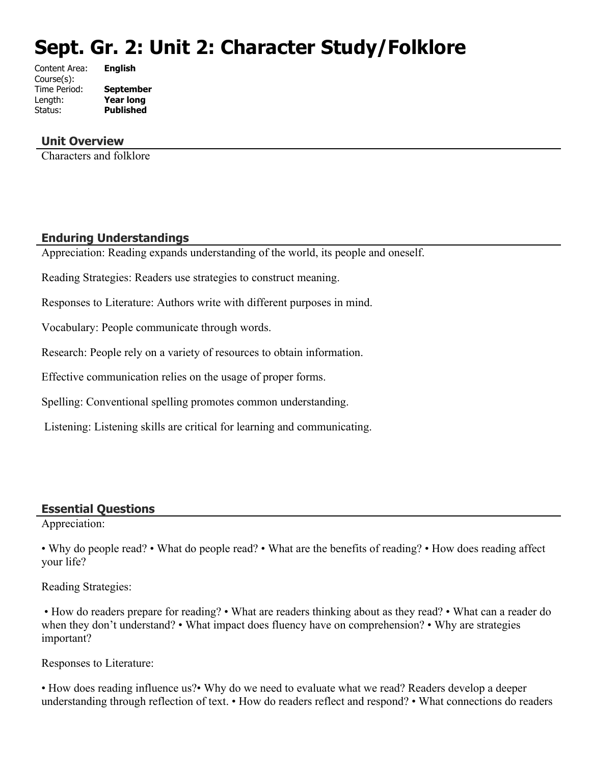# **Sept. Gr. 2: Unit 2: Character Study/Folklore**

| <b>English</b>   |
|------------------|
|                  |
| <b>September</b> |
| <b>Year long</b> |
| <b>Published</b> |
|                  |

## **Unit Overview**

Characters and folklore

#### **Enduring Understandings**

Appreciation: Reading expands understanding of the world, its people and oneself.

Reading Strategies: Readers use strategies to construct meaning.

Responses to Literature: Authors write with different purposes in mind.

Vocabulary: People communicate through words.

Research: People rely on a variety of resources to obtain information.

Effective communication relies on the usage of proper forms.

Spelling: Conventional spelling promotes common understanding.

Listening: Listening skills are critical for learning and communicating.

#### **Essential Questions**

Appreciation:

• Why do people read? • What do people read? • What are the benefits of reading? • How does reading affect your life?

Reading Strategies:

 • How do readers prepare for reading? • What are readers thinking about as they read? • What can a reader do when they don't understand? • What impact does fluency have on comprehension? • Why are strategies important?

Responses to Literature:

• How does reading influence us?• Why do we need to evaluate what we read? Readers develop a deeper understanding through reflection of text. • How do readers reflect and respond? • What connections do readers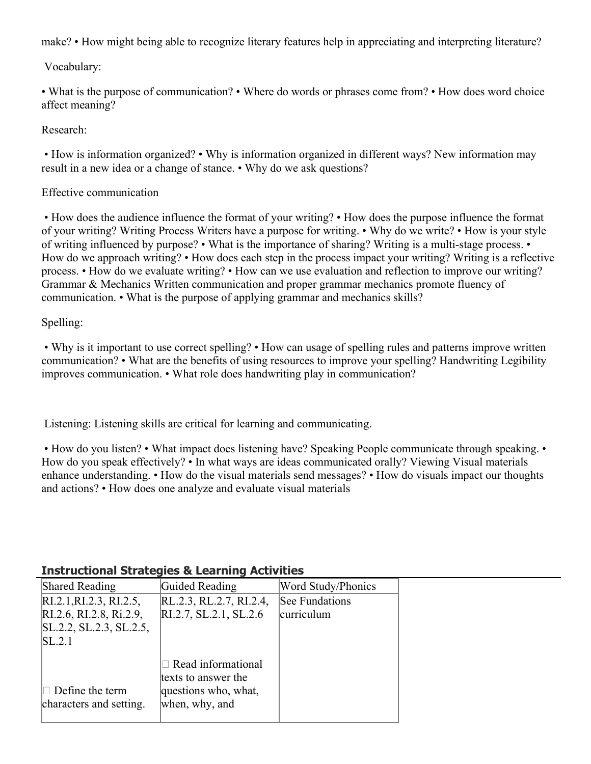make? • How might being able to recognize literary features help in appreciating and interpreting literature?

Vocabulary:

• What is the purpose of communication? • Where do words or phrases come from? • How does word choice affect meaning?

Research:

 • How is information organized? • Why is information organized in different ways? New information may result in a new idea or a change of stance. • Why do we ask questions?

## Effective communication

 • How does the audience influence the format of your writing? • How does the purpose influence the format of your writing? Writing Process Writers have a purpose for writing. • Why do we write? • How is your style of writing influenced by purpose? • What is the importance of sharing? Writing is a multi-stage process. • How do we approach writing? • How does each step in the process impact your writing? Writing is a reflective process. • How do we evaluate writing? • How can we use evaluation and reflection to improve our writing? Grammar & Mechanics Written communication and proper grammar mechanics promote fluency of communication. • What is the purpose of applying grammar and mechanics skills?

Spelling:

 • Why is it important to use correct spelling? • How can usage of spelling rules and patterns improve written communication? • What are the benefits of using resources to improve your spelling? Handwriting Legibility improves communication. • What role does handwriting play in communication?

Listening: Listening skills are critical for learning and communicating.

• How do you listen? • What impact does listening have? Speaking People communicate through speaking. • How do you speak effectively? • In what ways are ideas communicated orally? Viewing Visual materials enhance understanding. • How do the visual materials send messages? • How do visuals impact our thoughts and actions? • How does one analyze and evaluate visual materials

#### Shared Reading **Guided Reading Word Study/Phonics** RI.2.1,RI.2.3, RI.2.5, RI.2.6, RI.2.8, Ri.2.9, SL.2.2, SL.2.3, SL.2.5,  $SL.2.1$  $\Box$  Define the term characters and setting. RL.2.3, RL.2.7, RI.2.4, RI.2.7, SL.2.1, SL.2.6  $\Box$  Read informational texts to answer the questions who, what, when, why, and See Fundations curriculum

# **Instructional Strategies & Learning Activities**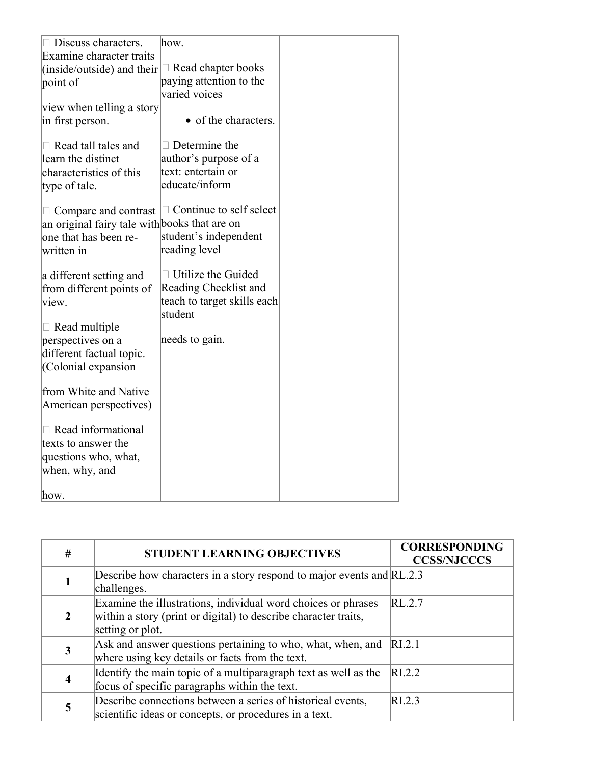| $\Box$ Discuss characters.                           | how.                           |  |
|------------------------------------------------------|--------------------------------|--|
| Examine character traits                             |                                |  |
| (inside/outside) and their $\Box$ Read chapter books |                                |  |
| point of                                             | paying attention to the        |  |
|                                                      | varied voices                  |  |
| view when telling a story                            |                                |  |
| in first person.                                     | • of the characters.           |  |
| $\Box$ Read tall tales and                           | $\Box$ Determine the           |  |
| learn the distinct                                   | author's purpose of a          |  |
| characteristics of this                              | text: entertain or             |  |
|                                                      | educate/inform                 |  |
| type of tale.                                        |                                |  |
| $\Box$ Compare and contrast                          | $\Box$ Continue to self select |  |
| an original fairy tale with books that are on        |                                |  |
| one that has been re-                                | student's independent          |  |
| written in                                           | reading level                  |  |
|                                                      |                                |  |
| a different setting and                              | $\Box$ Utilize the Guided      |  |
| from different points of                             | Reading Checklist and          |  |
| view.                                                | teach to target skills each    |  |
|                                                      | student                        |  |
| $\Box$ Read multiple                                 |                                |  |
| perspectives on a                                    | needs to gain.                 |  |
| different factual topic.                             |                                |  |
| Colonial expansion                                   |                                |  |
| from White and Native                                |                                |  |
| American perspectives)                               |                                |  |
|                                                      |                                |  |
| $\Box$ Read informational                            |                                |  |
| texts to answer the                                  |                                |  |
| questions who, what,                                 |                                |  |
| when, why, and                                       |                                |  |
|                                                      |                                |  |
| how.                                                 |                                |  |

| # | <b>STUDENT LEARNING OBJECTIVES</b>                                                                                                                   | <b>CORRESPONDING</b><br><b>CCSS/NJCCCS</b> |
|---|------------------------------------------------------------------------------------------------------------------------------------------------------|--------------------------------------------|
|   | Describe how characters in a story respond to major events and RL.2.3<br>challenges.                                                                 |                                            |
|   | Examine the illustrations, individual word choices or phrases<br>within a story (print or digital) to describe character traits,<br>setting or plot. | RL.2.7                                     |
|   | Ask and answer questions pertaining to who, what, when, and<br>where using key details or facts from the text.                                       | RI.2.1                                     |
|   | Identify the main topic of a multiparagraph text as well as the<br>focus of specific paragraphs within the text.                                     | RI.2.2                                     |
|   | Describe connections between a series of historical events,<br>scientific ideas or concepts, or procedures in a text.                                | RL2.3                                      |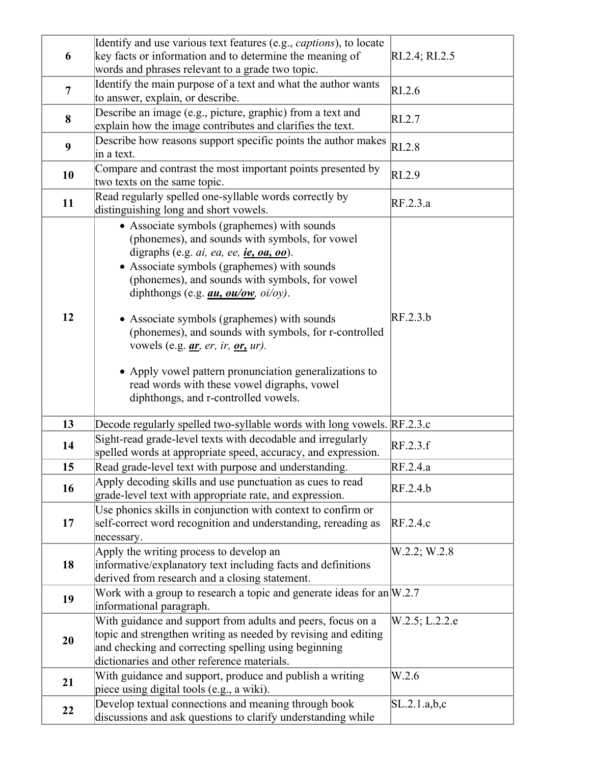| 6              | Identify and use various text features (e.g., <i>captions</i> ), to locate<br>key facts or information and to determine the meaning of                                                                                                                                                                                                                                                                                                                                                                                                                                                             | RI.2.4; RI.2.5 |
|----------------|----------------------------------------------------------------------------------------------------------------------------------------------------------------------------------------------------------------------------------------------------------------------------------------------------------------------------------------------------------------------------------------------------------------------------------------------------------------------------------------------------------------------------------------------------------------------------------------------------|----------------|
| $\overline{7}$ | words and phrases relevant to a grade two topic.<br>Identify the main purpose of a text and what the author wants<br>to answer, explain, or describe.                                                                                                                                                                                                                                                                                                                                                                                                                                              | RI.2.6         |
| 8              | Describe an image (e.g., picture, graphic) from a text and<br>explain how the image contributes and clarifies the text.                                                                                                                                                                                                                                                                                                                                                                                                                                                                            | RI.2.7         |
| 9              | Describe how reasons support specific points the author makes<br>in a text.                                                                                                                                                                                                                                                                                                                                                                                                                                                                                                                        | RI.2.8         |
| 10             | Compare and contrast the most important points presented by<br>two texts on the same topic.                                                                                                                                                                                                                                                                                                                                                                                                                                                                                                        | RI.2.9         |
| 11             | Read regularly spelled one-syllable words correctly by<br>distinguishing long and short vowels.                                                                                                                                                                                                                                                                                                                                                                                                                                                                                                    | RF.2.3.a       |
| 12             | • Associate symbols (graphemes) with sounds<br>(phonemes), and sounds with symbols, for vowel<br>digraphs (e.g. $ai$ , ea, ee, ie, oa, oo).<br>• Associate symbols (graphemes) with sounds<br>(phonemes), and sounds with symbols, for vowel<br>diphthongs (e.g. $au$ , $ou/ow$ , $oi/oy$ ).<br>• Associate symbols (graphemes) with sounds<br>(phonemes), and sounds with symbols, for r-controlled<br>vowels (e.g. <i>ar, er, ir, or, ur)</i> .<br>• Apply vowel pattern pronunciation generalizations to<br>read words with these vowel digraphs, vowel<br>diphthongs, and r-controlled vowels. | RF.2.3.b       |
| 13             | Decode regularly spelled two-syllable words with long vowels. RF.2.3.c                                                                                                                                                                                                                                                                                                                                                                                                                                                                                                                             |                |
| 14             | Sight-read grade-level texts with decodable and irregularly<br>spelled words at appropriate speed, accuracy, and expression.                                                                                                                                                                                                                                                                                                                                                                                                                                                                       | RF.2.3.f       |
| 15             | Read grade-level text with purpose and understanding.                                                                                                                                                                                                                                                                                                                                                                                                                                                                                                                                              | RF.2.4.a       |
| 16             | Apply decoding skills and use punctuation as cues to read<br>grade-level text with appropriate rate, and expression.                                                                                                                                                                                                                                                                                                                                                                                                                                                                               | RF.2.4.b       |
| 17             | Use phonics skills in conjunction with context to confirm or<br>self-correct word recognition and understanding, rereading as<br>necessary.                                                                                                                                                                                                                                                                                                                                                                                                                                                        | RF.2.4.c       |
| 18             | Apply the writing process to develop an<br>informative/explanatory text including facts and definitions<br>derived from research and a closing statement.                                                                                                                                                                                                                                                                                                                                                                                                                                          | W.2.2; W.2.8   |
| 19             | Work with a group to research a topic and generate ideas for an $W.2.7$<br>informational paragraph.                                                                                                                                                                                                                                                                                                                                                                                                                                                                                                |                |
| 20             | With guidance and support from adults and peers, focus on a<br>topic and strengthen writing as needed by revising and editing<br>and checking and correcting spelling using beginning<br>dictionaries and other reference materials.                                                                                                                                                                                                                                                                                                                                                               | W.2.5; L.2.2.e |
| 21             | With guidance and support, produce and publish a writing<br>piece using digital tools (e.g., a wiki).                                                                                                                                                                                                                                                                                                                                                                                                                                                                                              | W.2.6          |
| 22             | Develop textual connections and meaning through book<br>discussions and ask questions to clarify understanding while                                                                                                                                                                                                                                                                                                                                                                                                                                                                               | SL.2.1.a,b,c   |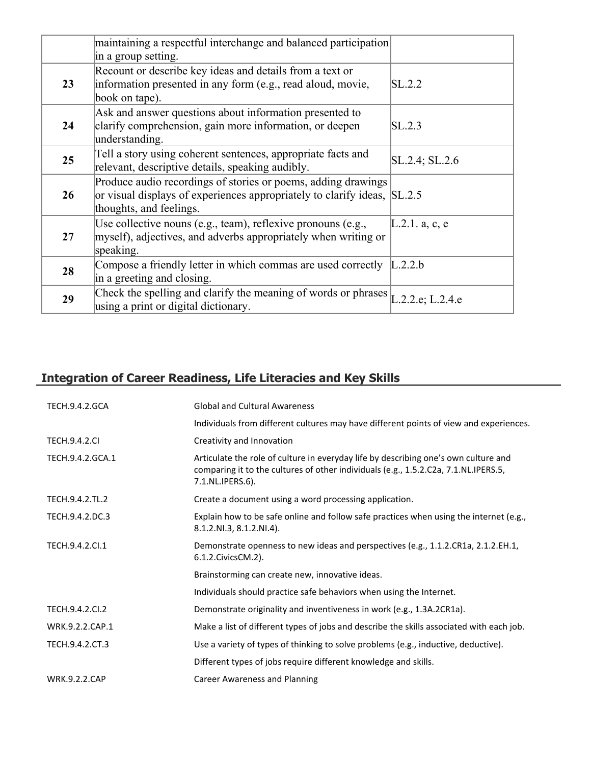|    | maintaining a respectful interchange and balanced participation<br>in a group setting.                                                                               |                     |
|----|----------------------------------------------------------------------------------------------------------------------------------------------------------------------|---------------------|
| 23 | Recount or describe key ideas and details from a text or<br>information presented in any form (e.g., read aloud, movie,<br>book on tape).                            | SL.2.2              |
| 24 | Ask and answer questions about information presented to<br>clarify comprehension, gain more information, or deepen<br>understanding.                                 | SL.2.3              |
| 25 | Tell a story using coherent sentences, appropriate facts and<br>relevant, descriptive details, speaking audibly.                                                     | $SL.2.4$ ; $SL.2.6$ |
| 26 | Produce audio recordings of stories or poems, adding drawings<br>or visual displays of experiences appropriately to clarify ideas, SL.2.5<br>thoughts, and feelings. |                     |
| 27 | Use collective nouns (e.g., team), reflexive pronouns (e.g.,<br>myself), adjectives, and adverbs appropriately when writing or<br>speaking.                          | L.2.1. a, c, e      |
| 28 | Compose a friendly letter in which commas are used correctly<br>in a greeting and closing.                                                                           | L.2.2.b             |
| 29 | Check the spelling and clarify the meaning of words or phrases $L.2.2.e$ ; L.2.4.e<br>using a print or digital dictionary.                                           |                     |

# **Integration of Career Readiness, Life Literacies and Key Skills**

| <b>TECH.9.4.2.GCA</b> | <b>Global and Cultural Awareness</b>                                                                                                                                                           |
|-----------------------|------------------------------------------------------------------------------------------------------------------------------------------------------------------------------------------------|
|                       | Individuals from different cultures may have different points of view and experiences.                                                                                                         |
| <b>TECH.9.4.2.CI</b>  | Creativity and Innovation                                                                                                                                                                      |
| TECH.9.4.2.GCA.1      | Articulate the role of culture in everyday life by describing one's own culture and<br>comparing it to the cultures of other individuals (e.g., 1.5.2.C2a, 7.1.NL.IPERS.5,<br>7.1.NL.IPERS.6). |
| TECH.9.4.2.TL.2       | Create a document using a word processing application.                                                                                                                                         |
| TECH.9.4.2.DC.3       | Explain how to be safe online and follow safe practices when using the internet (e.g.,<br>8.1.2.NI.3, 8.1.2.NI.4).                                                                             |
| TECH.9.4.2.Cl.1       | Demonstrate openness to new ideas and perspectives (e.g., 1.1.2.CR1a, 2.1.2.EH.1,<br>6.1.2. Civics CM. 2).                                                                                     |
|                       | Brainstorming can create new, innovative ideas.                                                                                                                                                |
|                       | Individuals should practice safe behaviors when using the Internet.                                                                                                                            |
| TECH.9.4.2.Cl.2       | Demonstrate originality and inventiveness in work (e.g., 1.3A.2CR1a).                                                                                                                          |
| WRK.9.2.2.CAP.1       | Make a list of different types of jobs and describe the skills associated with each job.                                                                                                       |
| TECH.9.4.2.CT.3       | Use a variety of types of thinking to solve problems (e.g., inductive, deductive).                                                                                                             |
|                       | Different types of jobs require different knowledge and skills.                                                                                                                                |
| <b>WRK.9.2.2.CAP</b>  | Career Awareness and Planning                                                                                                                                                                  |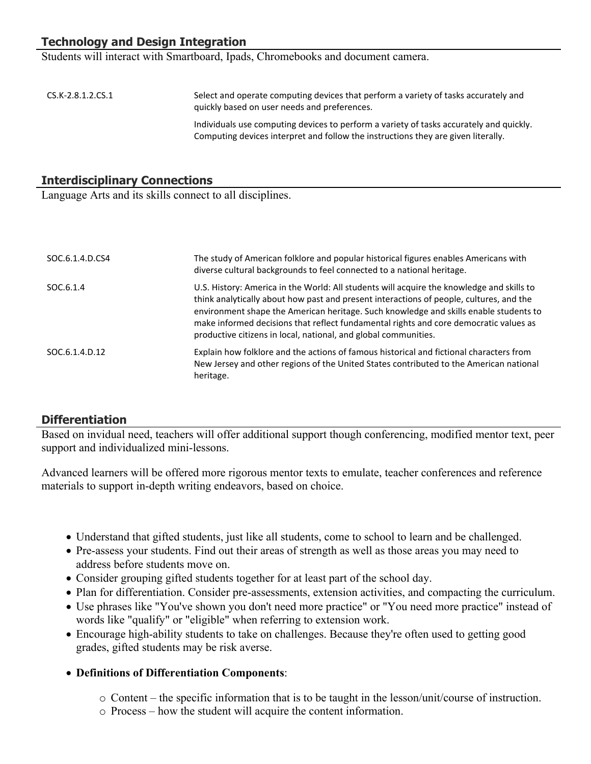# **Technology and Design Integration**

Students will interact with Smartboard, Ipads, Chromebooks and document camera.

| $CS.K-2.8.1.2.CS.1$ | Select and operate computing devices that perform a variety of tasks accurately and<br>quickly based on user needs and preferences.                                          |
|---------------------|------------------------------------------------------------------------------------------------------------------------------------------------------------------------------|
|                     | Individuals use computing devices to perform a variety of tasks accurately and quickly.<br>Computing devices interpret and follow the instructions they are given literally. |

#### **Interdisciplinary Connections**

Language Arts and its skills connect to all disciplines.

| SOC.6.1.4.D.CS4 | The study of American folklore and popular historical figures enables Americans with<br>diverse cultural backgrounds to feel connected to a national heritage.                                                                                                                                                                                                                                                                            |
|-----------------|-------------------------------------------------------------------------------------------------------------------------------------------------------------------------------------------------------------------------------------------------------------------------------------------------------------------------------------------------------------------------------------------------------------------------------------------|
| SOC.6.1.4       | U.S. History: America in the World: All students will acquire the knowledge and skills to<br>think analytically about how past and present interactions of people, cultures, and the<br>environment shape the American heritage. Such knowledge and skills enable students to<br>make informed decisions that reflect fundamental rights and core democratic values as<br>productive citizens in local, national, and global communities. |
| SOC.6.1.4.D.12  | Explain how folklore and the actions of famous historical and fictional characters from<br>New Jersey and other regions of the United States contributed to the American national<br>heritage.                                                                                                                                                                                                                                            |

#### **Differentiation**

Based on invidual need, teachers will offer additional support though conferencing, modified mentor text, peer support and individualized mini-lessons.

Advanced learners will be offered more rigorous mentor texts to emulate, teacher conferences and reference materials to support in-depth writing endeavors, based on choice.

- Understand that gifted students, just like all students, come to school to learn and be challenged.
- Pre-assess your students. Find out their areas of strength as well as those areas you may need to address before students move on.
- Consider grouping gifted students together for at least part of the school day.
- Plan for differentiation. Consider pre-assessments, extension activities, and compacting the curriculum.
- Use phrases like "You've shown you don't need more practice" or "You need more practice" instead of words like "qualify" or "eligible" when referring to extension work.
- Encourage high-ability students to take on challenges. Because they're often used to getting good grades, gifted students may be risk averse.
- **Definitions of Differentiation Components**:
	- o Content the specific information that is to be taught in the lesson/unit/course of instruction.
	- o Process how the student will acquire the content information.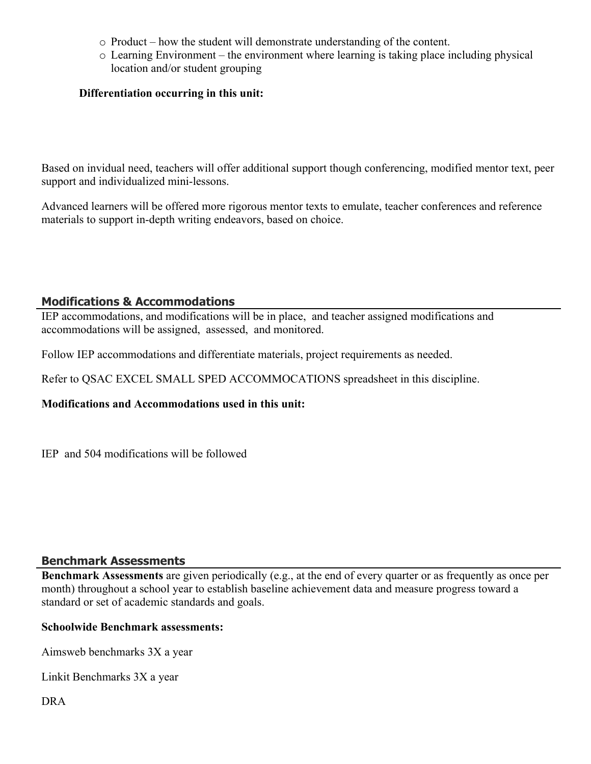- o Product how the student will demonstrate understanding of the content.
- o Learning Environment the environment where learning is taking place including physical location and/or student grouping

## **Differentiation occurring in this unit:**

Based on invidual need, teachers will offer additional support though conferencing, modified mentor text, peer support and individualized mini-lessons.

Advanced learners will be offered more rigorous mentor texts to emulate, teacher conferences and reference materials to support in-depth writing endeavors, based on choice.

# **Modifications & Accommodations**

IEP accommodations, and modifications will be in place, and teacher assigned modifications and accommodations will be assigned, assessed, and monitored.

Follow IEP accommodations and differentiate materials, project requirements as needed.

Refer to QSAC EXCEL SMALL SPED ACCOMMOCATIONS spreadsheet in this discipline.

#### **Modifications and Accommodations used in this unit:**

IEP and 504 modifications will be followed

#### **Benchmark Assessments**

**Benchmark Assessments** are given periodically (e.g., at the end of every quarter or as frequently as once per month) throughout a school year to establish baseline achievement data and measure progress toward a standard or set of academic standards and goals.

#### **Schoolwide Benchmark assessments:**

Aimsweb benchmarks 3X a year

Linkit Benchmarks 3X a year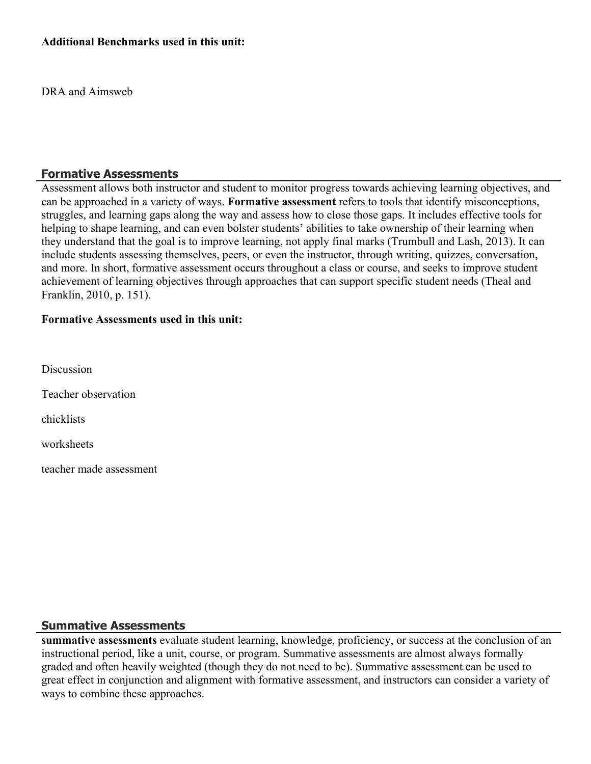#### **Additional Benchmarks used in this unit:**

DRA and Aimsweb

#### **Formative Assessments**

Assessment allows both instructor and student to monitor progress towards achieving learning objectives, and can be approached in a variety of ways. **Formative assessment** refers to tools that identify misconceptions, struggles, and learning gaps along the way and assess how to close those gaps. It includes effective tools for helping to shape learning, and can even bolster students' abilities to take ownership of their learning when they understand that the goal is to improve learning, not apply final marks (Trumbull and Lash, 2013). It can include students assessing themselves, peers, or even the instructor, through writing, quizzes, conversation, and more. In short, formative assessment occurs throughout a class or course, and seeks to improve student achievement of learning objectives through approaches that can support specific student needs (Theal and Franklin, 2010, p. 151).

#### **Formative Assessments used in this unit:**

**Discussion** 

Teacher observation

chicklists

worksheets

teacher made assessment

#### **Summative Assessments**

**summative assessments** evaluate student learning, knowledge, proficiency, or success at the conclusion of an instructional period, like a unit, course, or program. Summative assessments are almost always formally graded and often heavily weighted (though they do not need to be). Summative assessment can be used to great effect in conjunction and alignment with formative assessment, and instructors can consider a variety of ways to combine these approaches.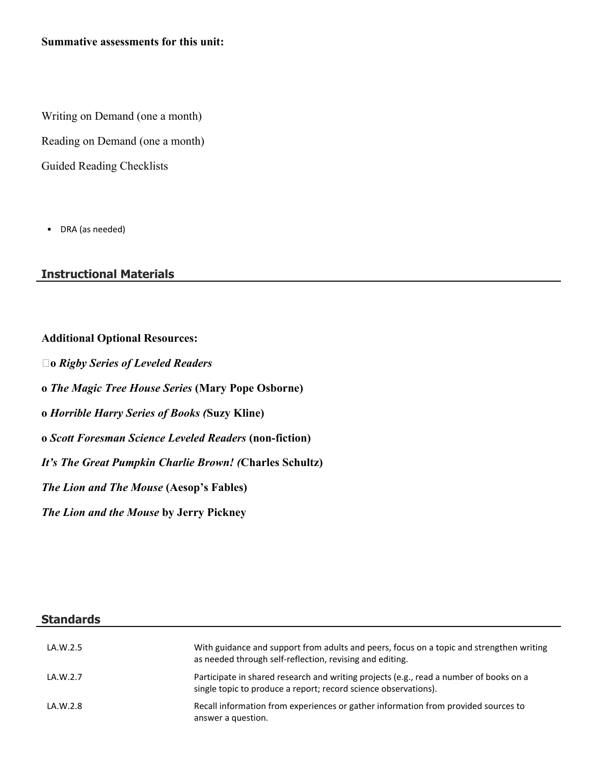Writing on Demand (one a month)

Reading on Demand (one a month)

Guided Reading Checklists

• DRA (as needed) **.**

## **Instructional Materials**

#### **Additional Optional Resources:**

**o** *Rigby Series of Leveled Readers* **o** *The Magic Tree House Series* **(Mary Pope Osborne) o** *Horrible Harry Series of Books (***Suzy Kline) o** *Scott Foresman Science Leveled Readers* **(non-fiction)** *It's The Great Pumpkin Charlie Brown! (***Charles Schultz)** *The Lion and The Mouse* **(Aesop's Fables)** *The Lion and the Mouse* **by Jerry Pickney**

#### **Standards**

| LA.W.2.5 | With guidance and support from adults and peers, focus on a topic and strengthen writing<br>as needed through self-reflection, revising and editing.      |
|----------|-----------------------------------------------------------------------------------------------------------------------------------------------------------|
| LA.W.2.7 | Participate in shared research and writing projects (e.g., read a number of books on a<br>single topic to produce a report; record science observations). |
| LA.W.2.8 | Recall information from experiences or gather information from provided sources to<br>answer a question.                                                  |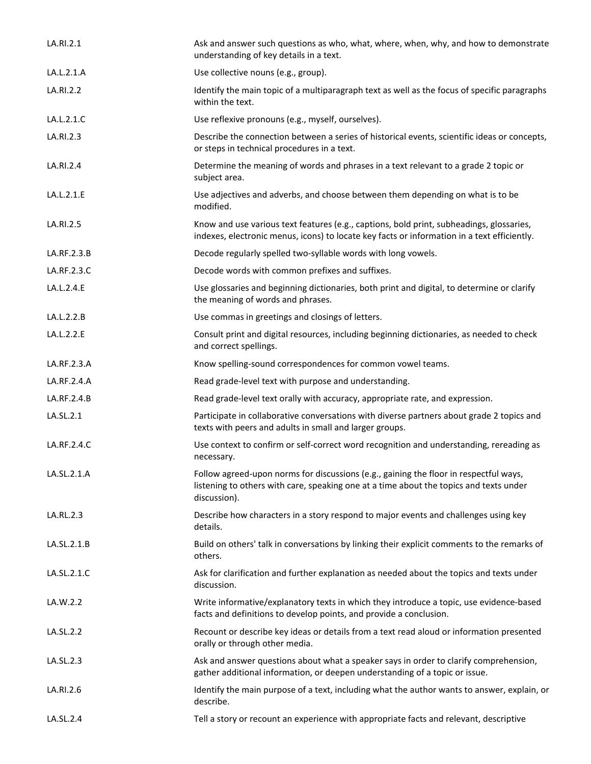| LA.RI.2.1   | Ask and answer such questions as who, what, where, when, why, and how to demonstrate<br>understanding of key details in a text.                                                                 |
|-------------|-------------------------------------------------------------------------------------------------------------------------------------------------------------------------------------------------|
| LA.L.2.1.A  | Use collective nouns (e.g., group).                                                                                                                                                             |
| LA.RI.2.2   | Identify the main topic of a multiparagraph text as well as the focus of specific paragraphs<br>within the text.                                                                                |
| LA.L.2.1.C  | Use reflexive pronouns (e.g., myself, ourselves).                                                                                                                                               |
| LA.RI.2.3   | Describe the connection between a series of historical events, scientific ideas or concepts,<br>or steps in technical procedures in a text.                                                     |
| LA.RI.2.4   | Determine the meaning of words and phrases in a text relevant to a grade 2 topic or<br>subject area.                                                                                            |
| LA.L.2.1.E  | Use adjectives and adverbs, and choose between them depending on what is to be<br>modified.                                                                                                     |
| LA.RI.2.5   | Know and use various text features (e.g., captions, bold print, subheadings, glossaries,<br>indexes, electronic menus, icons) to locate key facts or information in a text efficiently.         |
| LA.RF.2.3.B | Decode regularly spelled two-syllable words with long vowels.                                                                                                                                   |
| LA.RF.2.3.C | Decode words with common prefixes and suffixes.                                                                                                                                                 |
| LA.L.2.4.E  | Use glossaries and beginning dictionaries, both print and digital, to determine or clarify<br>the meaning of words and phrases.                                                                 |
| LA.L.2.2.B  | Use commas in greetings and closings of letters.                                                                                                                                                |
| LA.L.2.2.E  | Consult print and digital resources, including beginning dictionaries, as needed to check<br>and correct spellings.                                                                             |
| LA.RF.2.3.A | Know spelling-sound correspondences for common vowel teams.                                                                                                                                     |
| LA.RF.2.4.A | Read grade-level text with purpose and understanding.                                                                                                                                           |
| LA.RF.2.4.B | Read grade-level text orally with accuracy, appropriate rate, and expression.                                                                                                                   |
| LA.SL.2.1   | Participate in collaborative conversations with diverse partners about grade 2 topics and<br>texts with peers and adults in small and larger groups.                                            |
| LA.RF.2.4.C | Use context to confirm or self-correct word recognition and understanding, rereading as<br>necessary.                                                                                           |
| LA.SL.2.1.A | Follow agreed-upon norms for discussions (e.g., gaining the floor in respectful ways,<br>listening to others with care, speaking one at a time about the topics and texts under<br>discussion). |
| LA.RL.2.3   | Describe how characters in a story respond to major events and challenges using key<br>details.                                                                                                 |
| LA.SL.2.1.B | Build on others' talk in conversations by linking their explicit comments to the remarks of<br>others.                                                                                          |
| LA.SL.2.1.C | Ask for clarification and further explanation as needed about the topics and texts under<br>discussion.                                                                                         |
| LA.W.2.2    | Write informative/explanatory texts in which they introduce a topic, use evidence-based<br>facts and definitions to develop points, and provide a conclusion.                                   |
| LA.SL.2.2   | Recount or describe key ideas or details from a text read aloud or information presented<br>orally or through other media.                                                                      |
| LA.SL.2.3   | Ask and answer questions about what a speaker says in order to clarify comprehension,<br>gather additional information, or deepen understanding of a topic or issue.                            |
| LA.RI.2.6   | Identify the main purpose of a text, including what the author wants to answer, explain, or<br>describe.                                                                                        |
| LA.SL.2.4   | Tell a story or recount an experience with appropriate facts and relevant, descriptive                                                                                                          |